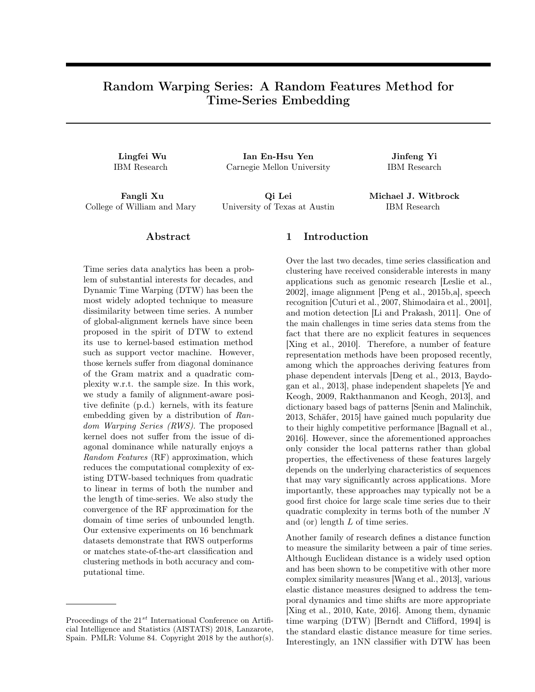# Random Warping Series: A Random Features Method for Time-Series Embedding

Lingfei Wu Ian En-Hsu Yen Jinfeng Yi IBM Research Carnegie Mellon University IBM Research

Fangli Xu Qi Lei Michael J. Witbrock College of William and Mary University of Texas at Austin IBM Research

## Abstract

Time series data analytics has been a problem of substantial interests for decades, and Dynamic Time Warping (DTW) has been the most widely adopted technique to measure dissimilarity between time series. A number of global-alignment kernels have since been proposed in the spirit of DTW to extend its use to kernel-based estimation method such as support vector machine. However, those kernels suffer from diagonal dominance of the Gram matrix and a quadratic complexity w.r.t. the sample size. In this work, we study a family of alignment-aware positive definite (p.d.) kernels, with its feature embedding given by a distribution of Random *Warping Series (RWS)*. The proposed kernel does not suffer from the issue of diagonal dominance while naturally enjoys a Random Features (RF) approximation, which reduces the computational complexity of existing DTW-based techniques from quadratic to linear in terms of both the number and the length of time-series. We also study the convergence of the RF approximation for the domain of time series of unbounded length. Our extensive experiments on 16 benchmark datasets demonstrate that RWS outperforms or matches state-of-the-art classification and clustering methods in both accuracy and computational time.

#### Proceedings of the  $21^{st}$  International Conference on Artificial Intelligence and Statistics (AISTATS) 2018, Lanzarote, Spain. PMLR: Volume 84. Copyright 2018 by the author(s).

## 1 Introduction

Over the last two decades, time series classification and clustering have received considerable interests in many applications such as genomic research [Leslie et al., 2002], image alignment [Peng et al., 2015b,a], speech recognition [Cuturi et al., 2007, Shimodaira et al., 2001], and motion detection [Li and Prakash, 2011]. One of the main challenges in time series data stems from the fact that there are no explicit features in sequences [Xing et al., 2010]. Therefore, a number of feature representation methods have been proposed recently, among which the approaches deriving features from phase dependent intervals [Deng et al., 2013, Baydogan et al., 2013], phase independent shapelets [Ye and Keogh, 2009, Rakthanmanon and Keogh, 2013], and dictionary based bags of patterns [Senin and Malinchik, 2013, Schäfer, 2015] have gained much popularity due to their highly competitive performance [Bagnall et al., 2016]. However, since the aforementioned approaches only consider the local patterns rather than global properties, the effectiveness of these features largely depends on the underlying characteristics of sequences that may vary significantly across applications. More importantly, these approaches may typically not be a good first choice for large scale time series due to their quadratic complexity in terms both of the number N and (or) length L of time series.

Another family of research defines a distance function to measure the similarity between a pair of time series. Although Euclidean distance is a widely used option and has been shown to be competitive with other more complex similarity measures [Wang et al., 2013], various elastic distance measures designed to address the temporal dynamics and time shifts are more appropriate [Xing et al., 2010, Kate, 2016]. Among them, dynamic time warping (DTW) [Berndt and Clifford, 1994] is the standard elastic distance measure for time series. Interestingly, an 1NN classifier with DTW has been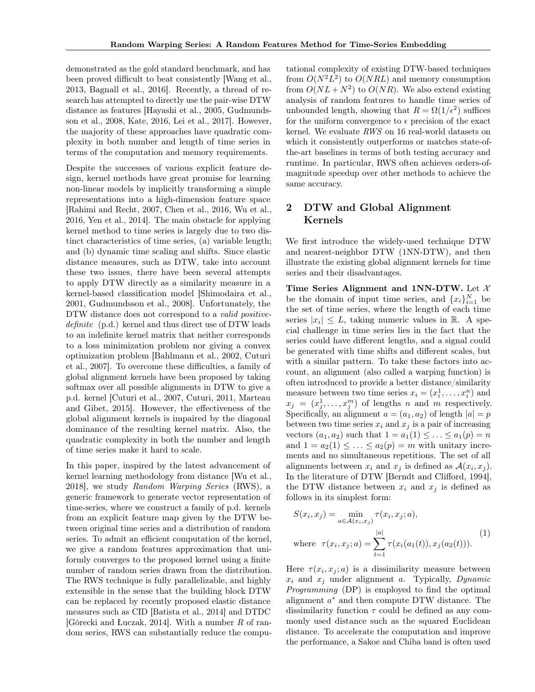demonstrated as the gold standard benchmark, and has been proved difficult to beat consistently [Wang et al., 2013, Bagnall et al., 2016]. Recently, a thread of research has attempted to directly use the pair-wise DTW distance as features [Hayashi et al., 2005, Gudmundsson et al., 2008, Kate, 2016, Lei et al., 2017]. However, the majority of these approaches have quadratic complexity in both number and length of time series in terms of the computation and memory requirements.

Despite the successes of various explicit feature design, kernel methods have great promise for learning non-linear models by implicitly transforming a simple representations into a high-dimension feature space [Rahimi and Recht, 2007, Chen et al., 2016, Wu et al., 2016, Yen et al., 2014]. The main obstacle for applying kernel method to time series is largely due to two distinct characteristics of time series, (a) variable length; and (b) dynamic time scaling and shifts. Since elastic distance measures, such as DTW, take into account these two issues, there have been several attempts to apply DTW directly as a similarity measure in a kernel-based classification model [Shimodaira et al., 2001, Gudmundsson et al., 2008]. Unfortunately, the DTW distance does not correspond to a *valid positive*definite (p.d.) kernel and thus direct use of DTW leads to an indefinite kernel matrix that neither corresponds to a loss minimization problem nor giving a convex optimization problem [Bahlmann et al., 2002, Cuturi et al., 2007]. To overcome these difficulties, a family of global alignment kernels have been proposed by taking softmax over all possible alignments in DTW to give a p.d. kernel [Cuturi et al., 2007, Cuturi, 2011, Marteau and Gibet, 2015]. However, the effectiveness of the global alignment kernels is impaired by the diagonal dominance of the resulting kernel matrix. Also, the quadratic complexity in both the number and length of time series make it hard to scale.

In this paper, inspired by the latest advancement of kernel learning methodology from distance [Wu et al., 2018], we study Random Warping Series (RWS), a generic framework to generate vector representation of time-series, where we construct a family of p.d. kernels from an explicit feature map given by the DTW between original time series and a distribution of random series. To admit an efficient computation of the kernel, we give a random features approximation that uniformly converges to the proposed kernel using a finite number of random series drawn from the distribution. The RWS technique is fully parallelizable, and highly extensible in the sense that the building block DTW can be replaced by recently proposed elastic distance measures such as CID [Batista et al., 2014] and DTDC [Górecki and Łuczak, 2014]. With a number R of random series, RWS can substantially reduce the compu-

tational complexity of existing DTW-based techniques from  $O(N^2L^2)$  to  $O(NRL)$  and memory consumption from  $O(NL+N^2)$  to  $O(NR)$ . We also extend existing analysis of random features to handle time series of unbounded length, showing that  $R = \Omega(1/\epsilon^2)$  suffices for the uniform convergence to  $\epsilon$  precision of the exact kernel. We evaluate RWS on 16 real-world datasets on which it consistently outperforms or matches state-ofthe-art baselines in terms of both testing accuracy and runtime. In particular, RWS often achieves orders-ofmagnitude speedup over other methods to achieve the same accuracy.

# 2 DTW and Global Alignment Kernels

We first introduce the widely-used technique DTW and nearest-neighbor DTW (1NN-DTW), and then illustrate the existing global alignment kernels for time series and their disadvantages.

Time Series Alignment and 1NN-DTW. Let  $\mathcal{X}$ be the domain of input time series, and  $\{x_i\}_{i=1}^N$  be the set of time series, where the length of each time series  $|x_i| \leq L$ , taking numeric values in R. A special challenge in time series lies in the fact that the series could have different lengths, and a signal could be generated with time shifts and different scales, but with a similar pattern. To take these factors into account, an alignment (also called a warping function) is often introduced to provide a better distance/similarity measure between two time series  $x_i = (x_i^1, \dots, x_i^n)$  and  $x_j = (x_j^1, \ldots, x_j^m)$  of lengths n and m respectively. Specifically, an alignment  $a = (a_1, a_2)$  of length  $|a| = p$ between two time series  $x_i$  and  $x_j$  is a pair of increasing vectors  $(a_1, a_2)$  such that  $1 = a_1(1) \leq \ldots \leq a_1(p) = n$ and  $1 = a_2(1) \leq \ldots \leq a_2(p) = m$  with unitary increments and no simultaneous repetitions. The set of all alignments between  $x_i$  and  $x_j$  is defined as  $\mathcal{A}(x_i, x_j)$ . In the literature of DTW [Berndt and Clifford, 1994], the DTW distance between  $x_i$  and  $x_j$  is defined as follows in its simplest form:

$$
S(x_i, x_j) = \min_{a \in \mathcal{A}(x_i, x_j)} \tau(x_i, x_j; a),
$$
  
where  $\tau(x_i, x_j; a) = \sum_{t=1}^{|a|} \tau(x_i(a_1(t)), x_j(a_2(t))).$  (1)

Here  $\tau(x_i, x_j; a)$  is a dissimilarity measure between  $x_i$  and  $x_j$  under alignment a. Typically, *Dynamic* Programming (DP) is employed to find the optimal alignment a <sup>∗</sup> and then compute DTW distance. The dissimilarity function  $\tau$  could be defined as any commonly used distance such as the squared Euclidean distance. To accelerate the computation and improve the performance, a Sakoe and Chiba band is often used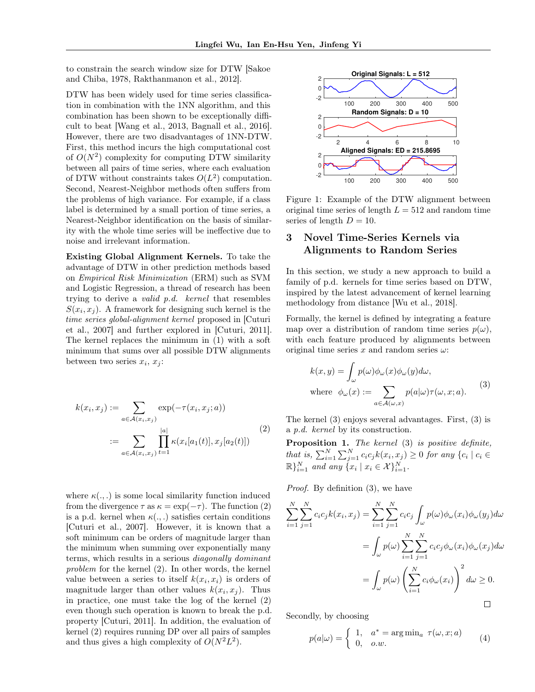to constrain the search window size for DTW [Sakoe and Chiba, 1978, Rakthanmanon et al., 2012].

DTW has been widely used for time series classification in combination with the 1NN algorithm, and this combination has been shown to be exceptionally difficult to beat [Wang et al., 2013, Bagnall et al., 2016]. However, there are two disadvantages of 1NN-DTW. First, this method incurs the high computational cost of  $O(N^2)$  complexity for computing DTW similarity between all pairs of time series, where each evaluation of DTW without constraints takes  $O(L^2)$  computation. Second, Nearest-Neighbor methods often suffers from the problems of high variance. For example, if a class label is determined by a small portion of time series, a Nearest-Neighbor identification on the basis of similarity with the whole time series will be ineffective due to noise and irrelevant information.

Existing Global Alignment Kernels. To take the advantage of DTW in other prediction methods based on Empirical Risk Minimization (ERM) such as SVM and Logistic Regression, a thread of research has been trying to derive a valid p.d. kernel that resembles  $S(x_i, x_j)$ . A framework for designing such kernel is the time series global-alignment kernel proposed in [Cuturi et al., 2007] and further explored in [Cuturi, 2011]. The kernel replaces the minimum in (1) with a soft minimum that sums over all possible DTW alignments between two series  $x_i, x_j$ :

$$
k(x_i, x_j) := \sum_{a \in \mathcal{A}(x_i, x_j)} \exp(-\tau(x_i, x_j; a))
$$

$$
:= \sum_{a \in \mathcal{A}(x_i, x_j)} \prod_{t=1}^{|a|} \kappa(x_i[a_1(t)], x_j[a_2(t)])
$$
(2)

where  $\kappa(.,.)$  is some local similarity function induced from the divergence  $\tau$  as  $\kappa = \exp(-\tau)$ . The function (2) is a p.d. kernel when  $\kappa(.,.)$  satisfies certain conditions [Cuturi et al., 2007]. However, it is known that a soft minimum can be orders of magnitude larger than the minimum when summing over exponentially many terms, which results in a serious diagonally dominant problem for the kernel (2). In other words, the kernel value between a series to itself  $k(x_i, x_i)$  is orders of magnitude larger than other values  $k(x_i, x_j)$ . Thus in practice, one must take the log of the kernel (2) even though such operation is known to break the p.d. property [Cuturi, 2011]. In addition, the evaluation of kernel (2) requires running DP over all pairs of samples and thus gives a high complexity of  $O(N^2L^2)$ .



Figure 1: Example of the DTW alignment between original time series of length  $L = 512$  and random time series of length  $D = 10$ .

## 3 Novel Time-Series Kernels via Alignments to Random Series

In this section, we study a new approach to build a family of p.d. kernels for time series based on DTW, inspired by the latest advancement of kernel learning methodology from distance [Wu et al., 2018].

Formally, the kernel is defined by integrating a feature map over a distribution of random time series  $p(\omega)$ , with each feature produced by alignments between original time series  $x$  and random series  $\omega$ :

$$
k(x, y) = \int_{\omega} p(\omega) \phi_{\omega}(x) \phi_{\omega}(y) d\omega,
$$
  
where  $\phi_{\omega}(x) := \sum_{a \in \mathcal{A}(\omega, x)} p(a|\omega) \tau(\omega, x; a).$  (3)

The kernel (3) enjoys several advantages. First, (3) is a p.d. kernel by its construction.

Proposition 1. The kernel (3) is positive definite, that is,  $\sum_{i=1}^{N} \sum_{j=1}^{N} c_i c_j k(x_i, x_j) \geq 0$  for any  $\{c_i \mid c_i \in$  $\mathbb{R} \}_{i=1}^{N}$  and any  $\{x_i \mid x_i \in \mathcal{X}\}_{i=1}^{N}$ .

Proof. By definition (3), we have

$$
\sum_{i=1}^{N} \sum_{j=1}^{N} c_i c_j k(x_i, x_j) = \sum_{i=1}^{N} \sum_{j=1}^{N} c_i c_j \int_{\omega} p(\omega) \phi_{\omega}(x_i) \phi_{\omega}(y_j) d\omega
$$

$$
= \int_{\omega} p(\omega) \sum_{i=1}^{N} \sum_{j=1}^{N} c_i c_j \phi_{\omega}(x_i) \phi_{\omega}(x_j) d\omega
$$

$$
= \int_{\omega} p(\omega) \left( \sum_{i=1}^{N} c_i \phi_{\omega}(x_i) \right)^2 d\omega \ge 0.
$$

Secondly, by choosing

$$
p(a|\omega) = \begin{cases} 1, & a^* = \arg\min_a \ \tau(\omega, x; a) \\ 0, & o.w. \end{cases}
$$
 (4)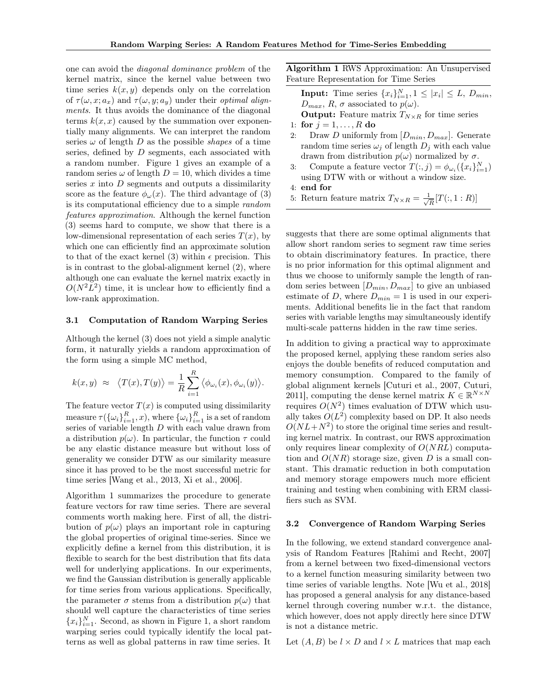one can avoid the diagonal dominance problem of the kernel matrix, since the kernel value between two time series  $k(x, y)$  depends only on the correlation of  $\tau(\omega, x; a_x)$  and  $\tau(\omega, y; a_y)$  under their *optimal align*ments. It thus avoids the dominance of the diagonal terms  $k(x, x)$  caused by the summation over exponentially many alignments. We can interpret the random series  $\omega$  of length D as the possible *shapes* of a time series, defined by D segments, each associated with a random number. Figure 1 gives an example of a random series  $\omega$  of length  $D = 10$ , which divides a time series  $x$  into  $D$  segments and outputs a dissimilarity score as the feature  $\phi_{\omega}(x)$ . The third advantage of (3) is its computational efficiency due to a simple random features approximation. Although the kernel function (3) seems hard to compute, we show that there is a low-dimensional representation of each series  $T(x)$ , by which one can efficiently find an approximate solution to that of the exact kernel (3) within  $\epsilon$  precision. This is in contrast to the global-alignment kernel (2), where although one can evaluate the kernel matrix exactly in  $O(N^2L^2)$  time, it is unclear how to efficiently find a low-rank approximation.

#### 3.1 Computation of Random Warping Series

Although the kernel (3) does not yield a simple analytic form, it naturally yields a random approximation of the form using a simple MC method,

$$
k(x,y) \approx \langle T(x), T(y) \rangle = \frac{1}{R} \sum_{i=1}^{R} \langle \phi_{\omega_i}(x), \phi_{\omega_i}(y) \rangle.
$$

The feature vector  $T(x)$  is computed using dissimilarity measure  $\tau(\{\omega_i\}_{i=1}^R, x)$ , where  $\{\omega_i\}_{i=1}^R$  is a set of random series of variable length D with each value drawn from a distribution  $p(\omega)$ . In particular, the function  $\tau$  could be any elastic distance measure but without loss of generality we consider DTW as our similarity measure since it has proved to be the most successful metric for time series [Wang et al., 2013, Xi et al., 2006].

Algorithm 1 summarizes the procedure to generate feature vectors for raw time series. There are several comments worth making here. First of all, the distribution of  $p(\omega)$  plays an important role in capturing the global properties of original time-series. Since we explicitly define a kernel from this distribution, it is flexible to search for the best distribution that fits data well for underlying applications. In our experiments, we find the Gaussian distribution is generally applicable for time series from various applications. Specifically, the parameter  $\sigma$  stems from a distribution  $p(\omega)$  that should well capture the characteristics of time series  ${x_i}_{i=1}^N$ . Second, as shown in Figure 1, a short random warping series could typically identify the local patterns as well as global patterns in raw time series. It Algorithm 1 RWS Approximation: An Unsupervised Feature Representation for Time Series

**Input:** Time series  $\{x_i\}_{i=1}^N, 1 \leq |x_i| \leq L, D_{min},$  $D_{max}, R, \sigma$  associated to  $p(\omega)$ .

- **Output:** Feature matrix  $T_{N\times R}$  for time series 1: for  $j = 1, ..., R$  do
- 
- 2: Draw D uniformly from  $[D_{min}, D_{max}]$ . Generate random time series  $\omega_i$  of length  $D_i$  with each value drawn from distribution  $p(\omega)$  normalized by  $\sigma$ .
- 3: Compute a feature vector  $T(:, j) = \phi_{\omega_i}(\{x_i\}_{i=1}^N)$ using DTW with or without a window size.
- 4: end for
- 5: Return feature matrix  $T_{N \times R} = \frac{1}{\sqrt{2}}$  $\frac{L}{R}[T(:,1:R)]$

suggests that there are some optimal alignments that allow short random series to segment raw time series to obtain discriminatory features. In practice, there is no prior information for this optimal alignment and thus we choose to uniformly sample the length of random series between  $[D_{min}, D_{max}]$  to give an unbiased estimate of D, where  $D_{min} = 1$  is used in our experiments. Additional benefits lie in the fact that random series with variable lengths may simultaneously identify multi-scale patterns hidden in the raw time series.

In addition to giving a practical way to approximate the proposed kernel, applying these random series also enjoys the double benefits of reduced computation and memory consumption. Compared to the family of global alignment kernels [Cuturi et al., 2007, Cuturi, 2011], computing the dense kernel matrix  $K \in \mathbb{R}^{N \times N}$ requires  $O(N^2)$  times evaluation of DTW which usually takes  $O(L^2)$  complexity based on DP. It also needs  $O(NL+N^2)$  to store the original time series and resulting kernel matrix. In contrast, our RWS approximation only requires linear complexity of  $O(NRL)$  computation and  $O(NR)$  storage size, given D is a small constant. This dramatic reduction in both computation and memory storage empowers much more efficient training and testing when combining with ERM classifiers such as SVM.

#### 3.2 Convergence of Random Warping Series

In the following, we extend standard convergence analysis of Random Features [Rahimi and Recht, 2007] from a kernel between two fixed-dimensional vectors to a kernel function measuring similarity between two time series of variable lengths. Note [Wu et al., 2018] has proposed a general analysis for any distance-based kernel through covering number w.r.t. the distance, which however, does not apply directly here since DTW is not a distance metric.

Let  $(A, B)$  be  $l \times D$  and  $l \times L$  matrices that map each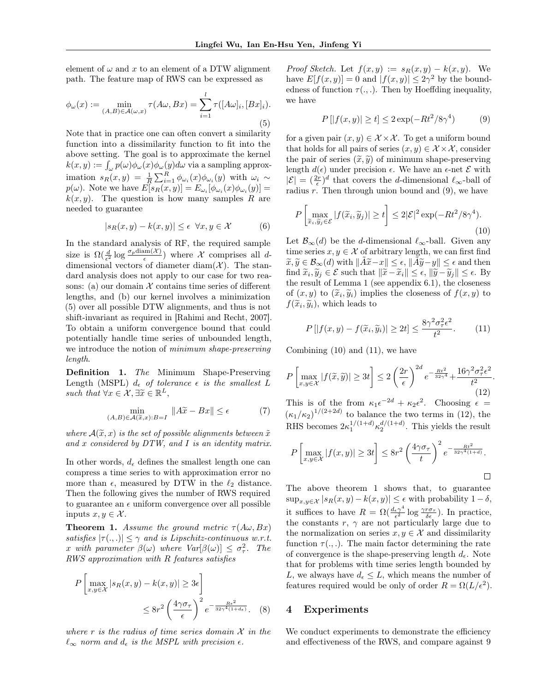element of  $\omega$  and x to an element of a DTW alignment path. The feature map of RWS can be expressed as

$$
\phi_{\omega}(x) := \min_{(A,B)\in\mathcal{A}(\omega,x)} \tau(A\omega, Bx) = \sum_{i=1}^{l} \tau([A\omega]_i, [Bx]_i).
$$
\n(5)

Note that in practice one can often convert a similarity function into a dissimilarity function to fit into the above setting. The goal is to approximate the kernel  $k(x, y) := \int_{\omega} p(\omega) \phi_{\omega}(x) \phi_{\omega}(y) d\omega$  via a sampling approximation  $s_R(x, y) = \frac{1}{R} \sum_{i=1}^R \phi_{\omega_i}(x) \phi_{\omega_i}(y)$  with  $\omega_i \sim$  $p(\omega)$ . Note we have  $E[s_R(x,y)] = E_{\omega_i}[\phi_{\omega_i}(x)\phi_{\omega_i}(y)] =$  $k(x, y)$ . The question is how many samples R are needed to guarantee

$$
|s_R(x,y) - k(x,y)| \le \epsilon \ \forall x, y \in \mathcal{X}
$$
 (6)

In the standard analysis of RF, the required sample size is  $\Omega(\frac{d}{\epsilon^2} \log \frac{\sigma_p \text{diam}(\mathcal{X})}{\epsilon})$  where X comprises all ddimensional vectors of diameter diam $(X)$ . The standard analysis does not apply to our case for two reasons: (a) our domain  $\mathcal X$  contains time series of different lengths, and (b) our kernel involves a minimization (5) over all possible DTW alignments, and thus is not shift-invariant as required in [Rahimi and Recht, 2007]. To obtain a uniform convergence bound that could potentially handle time series of unbounded length, we introduce the notion of minimum shape-preserving length.

Definition 1. The Minimum Shape-Preserving Length (MSPL)  $d_{\epsilon}$  of tolerance  $\epsilon$  is the smallest L such that  $\forall x \in \mathcal{X}, \exists \widetilde{x} \in \mathbb{R}^L,$ 

$$
\min_{(A,B)\in\mathcal{A}(\tilde{x},x):B=I} \|A\tilde{x} - Bx\| \le \epsilon \tag{7}
$$

where  $\mathcal{A}(\widetilde{x},x)$  is the set of possible alignments between  $\widetilde{x}$ and x considered by  $DTW$ , and I is an identity matrix.

In other words,  $d_{\epsilon}$  defines the smallest length one can compress a time series to with approximation error no more than  $\epsilon$ , measured by DTW in the  $\ell_2$  distance. Then the following gives the number of RWS required to guarantee an  $\epsilon$  uniform convergence over all possible inputs  $x, y \in \mathcal{X}$ .

**Theorem 1.** Assume the ground metric  $\tau(A\omega, Bx)$ satisfies  $|\tau(.,.)| \leq \gamma$  and is Lipschitz-continuous w.r.t. x with parameter  $\beta(\omega)$  where  $Var[\beta(\omega)] \leq \sigma_{\tau}^2$ . The RWS approximation with R features satisfies

$$
P\left[\max_{x,y\in\mathcal{X}}|s_R(x,y)-k(x,y)|\geq 3\epsilon\right]
$$
  

$$
\leq 8r^2 \left(\frac{4\gamma\sigma_\tau}{\epsilon}\right)^2 e^{-\frac{Re^2}{32\gamma^4(1+d_\epsilon)}}.
$$
 (8)

where r is the radius of time series domain  $\mathcal X$  in the  $\ell_{\infty}$  norm and  $d_{\epsilon}$  is the MSPL with precision  $\epsilon$ .

Proof Sketch. Let  $f(x, y) := s_R(x, y) - k(x, y)$ . We have  $E[f(x, y)] = 0$  and  $|f(x, y)| \leq 2\gamma^2$  by the boundedness of function  $\tau(.,.)$ . Then by Hoeffding inequality, we have

$$
P[|f(x, y)| \ge t] \le 2\exp(-Rt^2/8\gamma^4)
$$
 (9)

for a given pair  $(x, y) \in \mathcal{X} \times \mathcal{X}$ . To get a uniform bound that holds for all pairs of series  $(x, y) \in \mathcal{X} \times \mathcal{X}$ , consider the pair of series  $(\tilde{x}, \tilde{y})$  of minimum shape-preserving length  $d(\epsilon)$  under precision  $\epsilon$ . We have an  $\epsilon$ -net  $\mathcal E$  with  $|\mathcal{E}| = (\frac{2r}{\epsilon})^d$  that covers the *d*-dimensional  $\ell_{\infty}$ -ball of radius  $r$ . Then through union bound and  $(9)$ , we have

$$
P\left[\max_{\widetilde{x}_i,\widetilde{y}_j\in\mathcal{E}}|f(\widetilde{x}_i,\widetilde{y}_j)|\geq t\right] \leq 2|\mathcal{E}|^2\exp(-Rt^2/8\gamma^4). \tag{10}
$$

Let  $\mathcal{B}_{\infty}(d)$  be the d-dimensional  $\ell_{\infty}$ -ball. Given any time series  $x, y \in \mathcal{X}$  of arbitrary length, we can first find  $\widetilde{x}, \widetilde{y} \in \mathcal{B}_{\infty}(d)$  with  $\|\widetilde{A}\widetilde{x}-x\| \leq \epsilon$ ,  $\|\widetilde{A}\widetilde{y}-y\| \leq \epsilon$  and then find  $\widetilde{x}_i, \widetilde{y}_j \in \mathcal{E}$  such that  $\|\widetilde{x} - \widetilde{x}_i\| \leq \epsilon, \|\widetilde{y} - \widetilde{y}_j\| \leq \epsilon$ . By the result of Lemma 1 (see appendix 6.1), the closeness of  $(x, y)$  to  $(\tilde{x}_i, \tilde{y}_i)$  implies the closeness of  $f(x, y)$  to  $f(\tilde{x}, \tilde{y}_i)$  which loods to  $f(\widetilde{x}_i, \widetilde{y}_i)$ , which leads to

$$
P\left[|f(x,y) - f(\widetilde{x}_i, \widetilde{y}_i)| \ge 2t\right] \le \frac{8\gamma^2 \sigma_\tau^2 \epsilon^2}{t^2}.\tag{11}
$$

Combining  $(10)$  and  $(11)$ , we have

$$
P\left[\max_{x,y\in\mathcal{X}}|f(\widetilde{x},\widetilde{y})|\geq 3t\right]\leq 2\left(\frac{2r}{\epsilon}\right)^{2d}e^{-\frac{Rt^2}{32\gamma^4}}+\frac{16\gamma^2\sigma_\tau^2\epsilon^2}{t^2}.
$$
\n(12)

This is of the from  $\kappa_1 \epsilon^{-2d} + \kappa_2 \epsilon^2$ . Choosing  $\epsilon =$  $(\kappa_1/\kappa_2)^{1/(2+2d)}$  to balance the two terms in (12), the RHS becomes  $2\kappa_1^{1/(1+d)}\kappa_2^{d/(1+d)}$ . This yields the result

$$
P\left[\max_{x,y\in\mathcal{X}}|f(x,y)|\geq 3t\right]\leq 8r^2\left(\frac{4\gamma\sigma_{\tau}}{t}\right)^2e^{-\frac{Rt^2}{32\gamma^4(1+d)}}.
$$

The above theorem 1 shows that, to guarantee  $\sup_{x,y\in\mathcal{X}} |s_R(x,y)-k(x,y)| \leq \epsilon$  with probability  $1-\delta$ , it suffices to have  $R = \Omega(\frac{d_{\epsilon} \gamma^4}{\epsilon^2})$  $\frac{\epsilon \gamma^4}{\epsilon^2} \log \frac{\gamma r \sigma_{\tau}}{\delta \epsilon}$ ). In practice, the constants  $r, \gamma$  are not particularly large due to the normalization on series  $x, y \in \mathcal{X}$  and dissimilarity function  $\tau(.,.)$ . The main factor determining the rate of convergence is the shape-preserving length  $d_{\epsilon}$ . Note that for problems with time series length bounded by L, we always have  $d_{\epsilon} \leq L$ , which means the number of features required would be only of order  $R = \Omega(L/\epsilon^2)$ .

## 4 Experiments

We conduct experiments to demonstrate the efficiency and effectiveness of the RWS, and compare against 9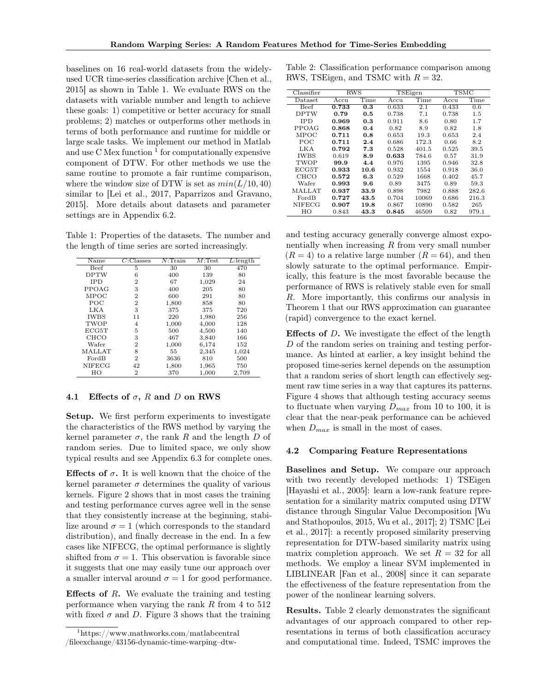baselines on 16 real-world datasets from the widelyused UCR time-series classification archive [Chen et al., 2015] as shown in Table 1. We evaluate RWS on the datasets with variable number and length to achieve these goals: 1) competitive or better accuracy for small problems; 2) matches or outperforms other methods in terms of both performance and runtime for middle or large scale tasks. We implement our method in Matlab and use  $C$  Mex function  $<sup>1</sup>$  for computationally expensive</sup> component of DTW. For other methods we use the same routine to promote a fair runtime comparison, where the window size of DTW is set as  $min(L/10, 40)$ similar to [Lei et al., 2017, Paparrizos and Gravano, 2015]. More details about datasets and parameter settings are in Appendix 6.2.

Table 1: Properties of the datasets. The number and the length of time series are sorted increasingly.

| Name          | C:Classes      | N:Train | $M$ :Test | $L:$ length |
|---------------|----------------|---------|-----------|-------------|
| Beef          | 5              | 30      | 30        | 470         |
| <b>DPTW</b>   | 6              | 400     | 139       | 80          |
| <b>IPD</b>    | $\overline{2}$ | 67      | 1,029     | 24          |
| PPOAG         | 3              | 400     | 205       | 80          |
| MPOC          | $\overline{2}$ | 600     | 291       | 80          |
| <b>POC</b>    | $\overline{2}$ | 1,800   | 858       | 80          |
| LKA           | 3              | 375     | 375       | 720         |
| <b>IWBS</b>   | 11             | 220     | 1,980     | 256         |
| TWOP          | 4              | 1,000   | 4,000     | 128         |
| ECG5T         | 5              | 500     | 4,500     | 140         |
| <b>CHCO</b>   | 3              | 467     | 3,840     | 166         |
| Wafer         | $\overline{2}$ | 1,000   | 6,174     | 152         |
| <b>MALLAT</b> | 8              | 55      | 2,345     | 1,024       |
| FordB         | $\overline{2}$ | 3636    | 810       | 500         |
| NIFECG        | 42             | 1,800   | 1,965     | 750         |
| HО            | $\overline{2}$ | 370     | 1,000     | 2,709       |

## 4.1 Effects of  $\sigma$ , R and D on RWS

Setup. We first perform experiments to investigate the characteristics of the RWS method by varying the kernel parameter  $\sigma$ , the rank R and the length D of random series. Due to limited space, we only show typical results and see Appendix 6.3 for complete ones.

Effects of  $\sigma$ . It is well known that the choice of the kernel parameter  $\sigma$  determines the quality of various kernels. Figure 2 shows that in most cases the training and testing performance curves agree well in the sense that they consistently increase at the beginning, stabilize around  $\sigma = 1$  (which corresponds to the standard distribution), and finally decrease in the end. In a few cases like NIFECG, the optimal performance is slightly shifted from  $\sigma = 1$ . This observation is favorable since it suggests that one may easily tune our approach over a smaller interval around  $\sigma = 1$  for good performance.

**Effects of R.** We evaluate the training and testing performance when varying the rank  $R$  from 4 to  $512$ with fixed  $\sigma$  and D. Figure 3 shows that the training

Table 2: Classification performance comparison among RWS, TSEigen, and TSMC with  $R = 32$ .

| Classifier    | <b>RWS</b> |      |       | TSEigen | <b>TSMC</b> |       |  |
|---------------|------------|------|-------|---------|-------------|-------|--|
| Dataset       | Accu       | Time | Accu  | Time    | Accu        | Time  |  |
| Beef          | 0.733      | 0.3  | 0.633 | 2.1     | 0.433       | 0.6   |  |
| DPTW          | 0.79       | 0.5  | 0.738 | 7.1     | 0.738       | 1.5   |  |
| <b>IPD</b>    | 0.969      | 0.3  | 0.911 | 8.6     | 0.80        | 1.7   |  |
| PPOAG         | 0.868      | 0.4  | 0.82  | 8.9     | 0.82        | 1.8   |  |
| MPOC          | 0.711      | 0.8  | 0.653 | 19.3    | 0.653       | 2.4   |  |
| POC           | 0.711      | 2.4  | 0.686 | 172.3   | 0.66        | 8.2   |  |
| LKA           | 0.792      | 7.3  | 0.528 | 401.5   | 0.525       | 39.5  |  |
| IWBS          | 0.619      | 8.9  | 0.633 | 784.6   | 0.57        | 31.9  |  |
| TWOP          | 99.9       | 4.4  | 0.976 | 1395    | 0.946       | 32.8  |  |
| ECG5T         | 0.933      | 10.6 | 0.932 | 1554    | 0.918       | 36.0  |  |
| CHCO          | 0.572      | 6.3  | 0.529 | 1668    | 0.402       | 45.7  |  |
| Wafer         | 0.993      | 9.6  | 0.89  | 3475    | 0.89        | 59.3  |  |
| MALLAT        | 0.937      | 33.9 | 0.898 | 7982    | 0.888       | 282.6 |  |
| FordB         | 0.727      | 43.5 | 0.704 | 10069   | 0.686       | 216.3 |  |
| <b>NIFECG</b> | 0.907      | 19.8 | 0.867 | 10890   | 0.582       | 265   |  |
| ΗО            | 0.843      | 43.3 | 0.845 | 46509   | 0.82        | 979.1 |  |

and testing accuracy generally converge almost exponentially when increasing  $R$  from very small number  $(R = 4)$  to a relative large number  $(R = 64)$ , and then slowly saturate to the optimal performance. Empirically, this feature is the most favorable because the performance of RWS is relatively stable even for small R. More importantly, this confirms our analysis in Theorem 1 that our RWS approximation can guarantee (rapid) convergence to the exact kernel.

**Effects of D.** We investigate the effect of the length D of the random series on training and testing performance. As hinted at earlier, a key insight behind the proposed time-series kernel depends on the assumption that a random series of short length can effectively segment raw time series in a way that captures its patterns. Figure 4 shows that although testing accuracy seems to fluctuate when varying  $D_{max}$  from 10 to 100, it is clear that the near-peak performance can be achieved when  $D_{max}$  is small in the most of cases.

## 4.2 Comparing Feature Representations

Baselines and Setup. We compare our approach with two recently developed methods: 1) TSEigen [Hayashi et al., 2005]: learn a low-rank feature representation for a similarity matrix computed using DTW distance through Singular Value Decomposition [Wu and Stathopoulos, 2015, Wu et al., 2017]; 2) TSMC [Lei et al., 2017]: a recently proposed similarity preserving representation for DTW-based similarity matrix using matrix completion approach. We set  $R = 32$  for all methods. We employ a linear SVM implemented in LIBLINEAR [Fan et al., 2008] since it can separate the effectiveness of the feature representation from the power of the nonlinear learning solvers.

Results. Table 2 clearly demonstrates the significant advantages of our approach compared to other representations in terms of both classification accuracy and computational time. Indeed, TSMC improves the

<sup>1</sup>https://www.mathworks.com/matlabcentral /fileexchange/43156-dynamic-time-warping–dtw-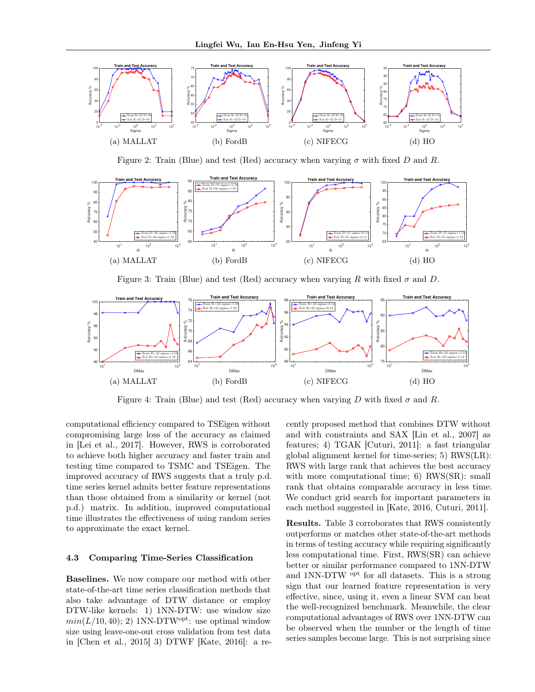

Figure 2: Train (Blue) and test (Red) accuracy when varying  $\sigma$  with fixed D and R.



Figure 3: Train (Blue) and test (Red) accuracy when varying R with fixed  $\sigma$  and D.



Figure 4: Train (Blue) and test (Red) accuracy when varying D with fixed  $\sigma$  and R.

computational efficiency compared to TSEigen without compromising large loss of the accuracy as claimed in [Lei et al., 2017]. However, RWS is corroborated to achieve both higher accuracy and faster train and testing time compared to TSMC and TSEigen. The improved accuracy of RWS suggests that a truly p.d. time series kernel admits better feature representations than those obtained from a similarity or kernel (not p.d.) matrix. In addition, improved computational time illustrates the effectiveness of using random series to approximate the exact kernel.

#### 4.3 Comparing Time-Series Classification

Baselines. We now compare our method with other state-of-the-art time series classification methods that also take advantage of DTW distance or employ DTW-like kernels: 1) 1NN-DTW: use window size  $min(L/10, 40);$  2) 1NN-DTW<sup>opt</sup>: use optimal window size using leave-one-out cross validation from test data in [Chen et al., 2015] 3) DTWF [Kate, 2016]: a re-

cently proposed method that combines DTW without and with constraints and SAX [Lin et al., 2007] as features; 4) TGAK [Cuturi, 2011]: a fast triangular global alignment kernel for time-series; 5) RWS(LR): RWS with large rank that achieves the best accuracy with more computational time; 6) RWS(SR): small rank that obtains comparable accuracy in less time. We conduct grid search for important parameters in each method suggested in [Kate, 2016, Cuturi, 2011].

Results. Table 3 corroborates that RWS consistently outperforms or matches other state-of-the-art methods in terms of testing accuracy while requiring significantly less computational time. First, RWS(SR) can achieve better or similar performance compared to 1NN-DTW and 1NN-DTW opt for all datasets. This is a strong sign that our learned feature representation is very effective, since, using it, even a linear SVM can beat the well-recognized benchmark. Meanwhile, the clear computational advantages of RWS over 1NN-DTW can be observed when the number or the length of time series samples become large. This is not surprising since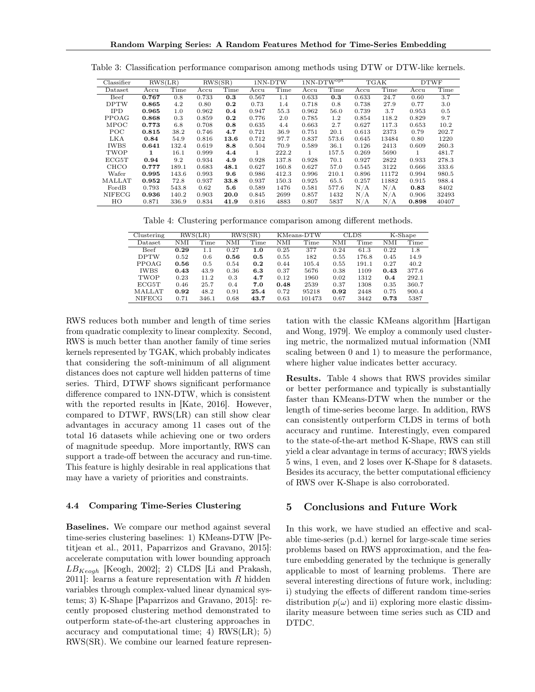| Classifier    | RWS(LR) |       | RWS(SR) |      | 1NN-DTW |       | $1NN-DTW^{opt}$ |         | TGAK  |       | <b>DTWF</b> |       |
|---------------|---------|-------|---------|------|---------|-------|-----------------|---------|-------|-------|-------------|-------|
| Dataset       | Accu    | Time  | Accu    | Time | Accu    | Time  | Accu            | Time    | Accu  | Time  | Accu        | Time  |
| Beef          | 0.767   | 0.8   | 0.733   | 0.3  | 0.567   | 1.1   | 0.633           | 0.3     | 0.633 | 24.7  | 0.60        | 3.7   |
| <b>DPTW</b>   | 0.865   | 4.2   | 0.80    | 0.2  | 0.73    | 1.4   | 0.718           | 0.8     | 0.738 | 27.9  | 0.77        | 3.0   |
| <b>IPD</b>    | 0.965   | 1.0   | 0.962   | 0.4  | 0.947   | 55.3  | 0.962           | 56.0    | 0.739 | 3.7   | 0.953       | 0.5   |
| PPOAG         | 0.868   | 0.3   | 0.859   | 0.2  | 0.776   | 2.0   | 0.785           | $1.2\,$ | 0.854 | 118.2 | 0.829       | 9.7   |
| <b>MPOC</b>   | 0.773   | 6.8   | 0.708   | 0.8  | 0.635   | 4.4   | 0.663           | 2.7     | 0.627 | 117.3 | 0.653       | 10.2  |
| POC           | 0.815   | 38.2  | 0.746   | 4.7  | 0.721   | 36.9  | 0.751           | 20.1    | 0.613 | 2373  | 0.79        | 202.7 |
| LKA           | 0.84    | 54.9  | 0.816   | 13.6 | 0.712   | 97.7  | 0.837           | 573.6   | 0.645 | 13484 | 0.80        | 1220  |
| <b>IWBS</b>   | 0.641   | 132.4 | 0.619   | 8.8  | 0.504   | 70.9  | 0.589           | 36.1    | 0.126 | 2413  | 0.609       | 260.3 |
| TWOP          | 1       | 16.1  | 0.999   | 4.4  |         | 222.2 | 1               | 157.5   | 0.269 | 5690  | 1           | 481.7 |
| ECG5T         | 0.94    | 9.2   | 0.934   | 4.9  | 0.928   | 137.8 | 0.928           | 70.1    | 0.927 | 2822  | 0.933       | 278.3 |
| <b>CHCO</b>   | 0.777   | 189.1 | 0.683   | 48.1 | 0.627   | 160.8 | 0.627           | 57.0    | 0.545 | 3122  | 0.666       | 333.6 |
| Wafer         | 0.995   | 143.6 | 0.993   | 9.6  | 0.986   | 412.3 | 0.996           | 210.1   | 0.896 | 11172 | 0.994       | 980.5 |
| MALLAT        | 0.952   | 72.8  | 0.937   | 33.8 | 0.937   | 150.3 | 0.925           | 65.5    | 0.257 | 11882 | 0.915       | 988.4 |
| FordB         | 0.793   | 543.8 | 0.62    | 5.6  | 0.589   | 1476  | 0.581           | 577.6   | N/A   | N/A   | 0.83        | 8402  |
| <b>NIFECG</b> | 0.936   | 140.2 | 0.903   | 20.0 | 0.845   | 2699  | 0.857           | 1432    | N/A   | N/A   | 0.906       | 32493 |
| HO            | 0.871   | 336.9 | 0.834   | 41.9 | 0.816   | 4883  | 0.807           | 5837    | N/A   | N/A   | 0.898       | 40407 |

Table 3: Classification performance comparison among methods using DTW or DTW-like kernels.

Table 4: Clustering performance comparison among different methods.

| Clustering    | RWS(LR) |       | RWS(SR) |      | KMeans-DTW |        | CLDS |       | $K$ -Shape |       |
|---------------|---------|-------|---------|------|------------|--------|------|-------|------------|-------|
| Dataset       | NMI     | Time  | NMI     | Time | NΜI        | Time   | NMI  | Time  | NMI        | Time  |
| <b>Beef</b>   | 0.29    | 1.1   | 0.27    | 1.0  | 0.25       | 377    | 0.24 | 61.3  | 0.22       | 1.8   |
| <b>DPTW</b>   | 0.52    | 0.6   | 0.56    | 0.5  | 0.55       | 182    | 0.55 | 176.8 | 0.45       | 14.9  |
| PPOAG         | 0.56    | 0.5   | 0.54    | 0.2  | 0.44       | 105.4  | 0.55 | 191.1 | 0.27       | 40.2  |
| <b>IWBS</b>   | 0.43    | 43.9  | 0.36    | 6.3  | 0.37       | 5676   | 0.38 | 1109  | 0.43       | 377.6 |
| TWOP          | 0.23    | 11.2  | 0.3     | 4.7  | 0.12       | 1960   | 0.02 | 1312  | 0.4        | 292.1 |
| ECG5T         | 0.46    | 25.7  | 0.4     | 7.0  | 0.48       | 2539   | 0.37 | 1308  | 0.35       | 360.7 |
| <b>MALLAT</b> | 0.92    | 48.2  | 0.91    | 25.4 | 0.72       | 95218  | 0.92 | 2448  | 0.75       | 900.4 |
| <b>NIFECG</b> | 0.71    | 346.1 | 0.68    | 43.7 | 0.63       | 101473 | 0.67 | 3442  | 0.73       | 5387  |

RWS reduces both number and length of time series from quadratic complexity to linear complexity. Second, RWS is much better than another family of time series kernels represented by TGAK, which probably indicates that considering the soft-minimum of all alignment distances does not capture well hidden patterns of time series. Third, DTWF shows significant performance difference compared to 1NN-DTW, which is consistent with the reported results in [Kate, 2016]. However, compared to DTWF, RWS(LR) can still show clear advantages in accuracy among 11 cases out of the total 16 datasets while achieving one or two orders of magnitude speedup. More importantly, RWS can support a trade-off between the accuracy and run-time. This feature is highly desirable in real applications that may have a variety of priorities and constraints.

#### 4.4 Comparing Time-Series Clustering

Baselines. We compare our method against several time-series clustering baselines: 1) KMeans-DTW [Petitjean et al., 2011, Paparrizos and Gravano, 2015]: accelerate computation with lower bounding approach  $LB_{Keogh}$  [Keogh, 2002]; 2) CLDS [Li and Prakash, 2011]: learns a feature representation with  $R$  hidden variables through complex-valued linear dynamical systems; 3) K-Shape [Paparrizos and Gravano, 2015]: recently proposed clustering method demonstrated to outperform state-of-the-art clustering approaches in accuracy and computational time; 4) RWS(LR); 5) RWS(SR). We combine our learned feature represen-

tation with the classic KMeans algorithm [Hartigan and Wong, 1979]. We employ a commonly used clustering metric, the normalized mutual information (NMI scaling between 0 and 1) to measure the performance, where higher value indicates better accuracy.

Results. Table 4 shows that RWS provides similar or better performance and typically is substantially faster than KMeans-DTW when the number or the length of time-series become large. In addition, RWS can consistently outperform CLDS in terms of both accuracy and runtime. Interestingly, even compared to the state-of-the-art method K-Shape, RWS can still yield a clear advantage in terms of accuracy; RWS yields 5 wins, 1 even, and 2 loses over K-Shape for 8 datasets. Besides its accuracy, the better computational efficiency of RWS over K-Shape is also corroborated.

## 5 Conclusions and Future Work

In this work, we have studied an effective and scalable time-series (p.d.) kernel for large-scale time series problems based on RWS approximation, and the feature embedding generated by the technique is generally applicable to most of learning problems. There are several interesting directions of future work, including: i) studying the effects of different random time-series distribution  $p(\omega)$  and ii) exploring more elastic dissimilarity measure between time series such as CID and DTDC.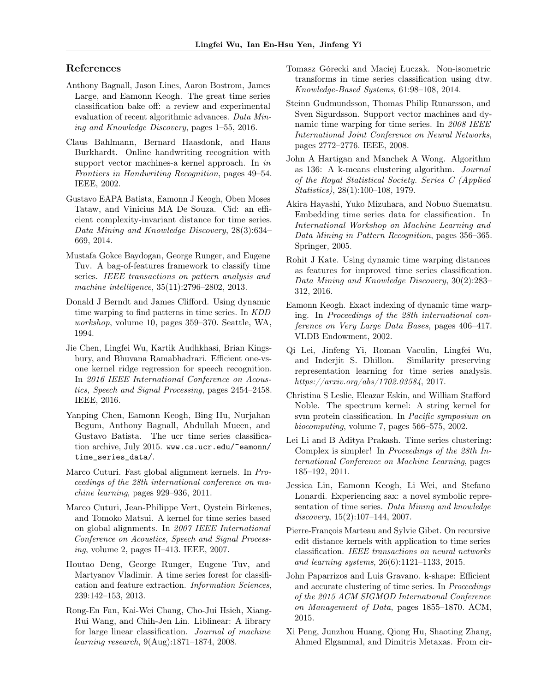## References

- Anthony Bagnall, Jason Lines, Aaron Bostrom, James Large, and Eamonn Keogh. The great time series classification bake off: a review and experimental evaluation of recent algorithmic advances. Data Mining and Knowledge Discovery, pages 1–55, 2016.
- Claus Bahlmann, Bernard Haasdonk, and Hans Burkhardt. Online handwriting recognition with support vector machines-a kernel approach. In in Frontiers in Handwriting Recognition, pages 49–54. IEEE, 2002.
- Gustavo EAPA Batista, Eamonn J Keogh, Oben Moses Tataw, and Vinicius MA De Souza. Cid: an efficient complexity-invariant distance for time series. Data Mining and Knowledge Discovery, 28(3):634– 669, 2014.
- Mustafa Gokce Baydogan, George Runger, and Eugene Tuv. A bag-of-features framework to classify time series. IEEE transactions on pattern analysis and machine intelligence, 35(11):2796–2802, 2013.
- Donald J Berndt and James Clifford. Using dynamic time warping to find patterns in time series. In KDD workshop, volume 10, pages 359–370. Seattle, WA, 1994.
- Jie Chen, Lingfei Wu, Kartik Audhkhasi, Brian Kingsbury, and Bhuvana Ramabhadrari. Efficient one-vsone kernel ridge regression for speech recognition. In 2016 IEEE International Conference on Acoustics, Speech and Signal Processing, pages 2454–2458. IEEE, 2016.
- Yanping Chen, Eamonn Keogh, Bing Hu, Nurjahan Begum, Anthony Bagnall, Abdullah Mueen, and Gustavo Batista. The ucr time series classification archive, July 2015. www.cs.ucr.edu/~eamonn/ time\_series\_data/.
- Marco Cuturi. Fast global alignment kernels. In Proceedings of the 28th international conference on machine learning, pages 929–936, 2011.
- Marco Cuturi, Jean-Philippe Vert, Oystein Birkenes, and Tomoko Matsui. A kernel for time series based on global alignments. In 2007 IEEE International Conference on Acoustics, Speech and Signal Processing, volume 2, pages II–413. IEEE, 2007.
- Houtao Deng, George Runger, Eugene Tuv, and Martyanov Vladimir. A time series forest for classification and feature extraction. Information Sciences, 239:142–153, 2013.
- Rong-En Fan, Kai-Wei Chang, Cho-Jui Hsieh, Xiang-Rui Wang, and Chih-Jen Lin. Liblinear: A library for large linear classification. Journal of machine learning research, 9(Aug):1871–1874, 2008.
- Tomasz Górecki and Maciej Łuczak. Non-isometric transforms in time series classification using dtw. Knowledge-Based Systems, 61:98–108, 2014.
- Steinn Gudmundsson, Thomas Philip Runarsson, and Sven Sigurdsson. Support vector machines and dynamic time warping for time series. In 2008 IEEE International Joint Conference on Neural Networks, pages 2772–2776. IEEE, 2008.
- John A Hartigan and Manchek A Wong. Algorithm as 136: A k-means clustering algorithm. Journal of the Royal Statistical Society. Series C (Applied Statistics), 28(1):100–108, 1979.
- Akira Hayashi, Yuko Mizuhara, and Nobuo Suematsu. Embedding time series data for classification. In International Workshop on Machine Learning and Data Mining in Pattern Recognition, pages 356–365. Springer, 2005.
- Rohit J Kate. Using dynamic time warping distances as features for improved time series classification. Data Mining and Knowledge Discovery, 30(2):283– 312, 2016.
- Eamonn Keogh. Exact indexing of dynamic time warping. In Proceedings of the 28th international conference on Very Large Data Bases, pages 406–417. VLDB Endowment, 2002.
- Qi Lei, Jinfeng Yi, Roman Vaculin, Lingfei Wu, and Inderjit S. Dhillon. Similarity preserving representation learning for time series analysis. https://arxiv.org/abs/1702.03584, 2017.
- Christina S Leslie, Eleazar Eskin, and William Stafford Noble. The spectrum kernel: A string kernel for svm protein classification. In Pacific symposium on biocomputing, volume 7, pages 566–575, 2002.
- Lei Li and B Aditya Prakash. Time series clustering: Complex is simpler! In Proceedings of the 28th International Conference on Machine Learning, pages 185–192, 2011.
- Jessica Lin, Eamonn Keogh, Li Wei, and Stefano Lonardi. Experiencing sax: a novel symbolic representation of time series. Data Mining and knowledge discovery, 15(2):107–144, 2007.
- Pierre-François Marteau and Sylvie Gibet. On recursive edit distance kernels with application to time series classification. IEEE transactions on neural networks and learning systems, 26(6):1121–1133, 2015.
- John Paparrizos and Luis Gravano. k-shape: Efficient and accurate clustering of time series. In Proceedings of the 2015 ACM SIGMOD International Conference on Management of Data, pages 1855–1870. ACM, 2015.
- Xi Peng, Junzhou Huang, Qiong Hu, Shaoting Zhang, Ahmed Elgammal, and Dimitris Metaxas. From cir-